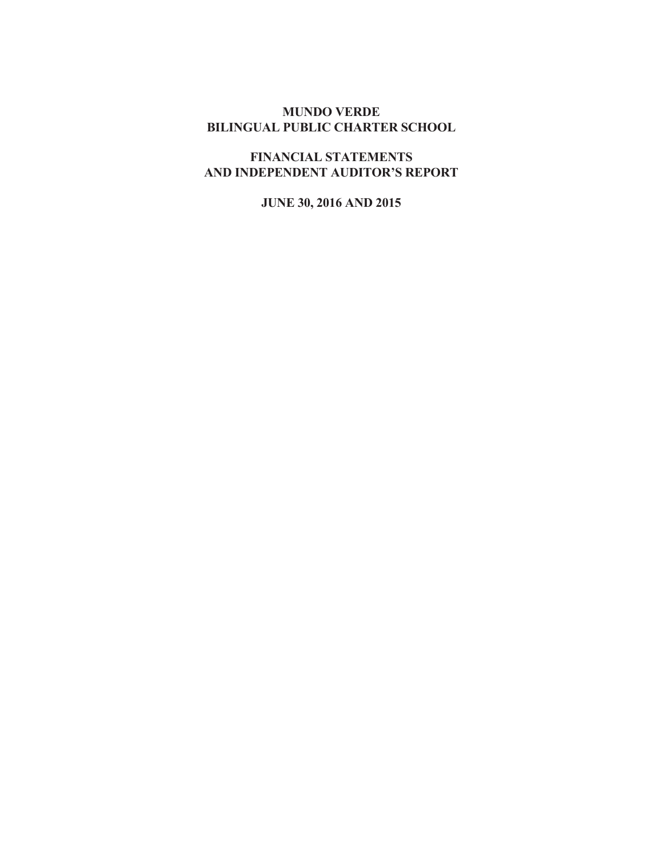# **MUNDO VERDE BILINGUAL PUBLIC CHARTER SCHOOL**

**FINANCIAL STATEMENTS AND INDEPENDENT AUDITOR'S REPORT**

**JUNE 30, 2016 AND 2015**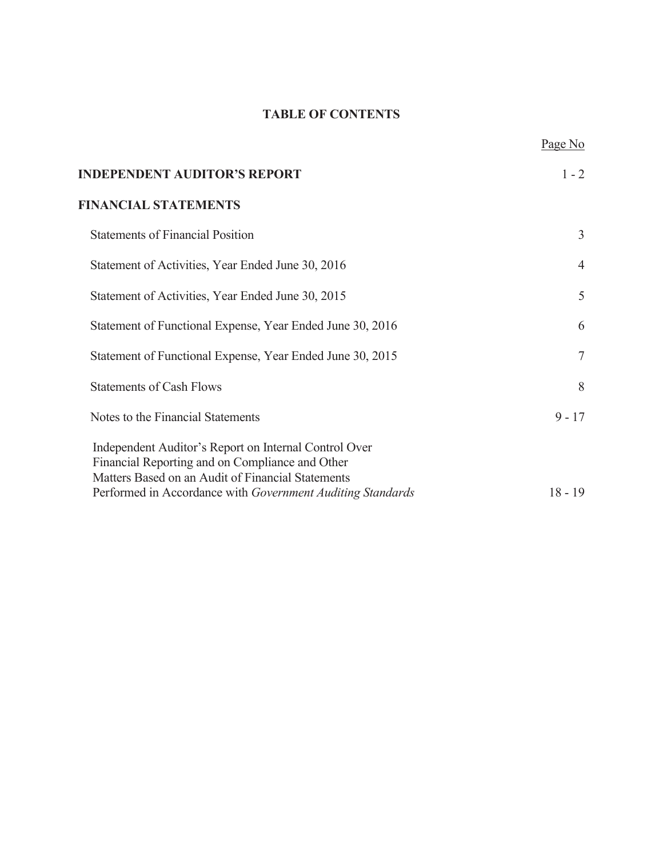# **TABLE OF CONTENTS**

|                                                                                                                                                               | Page No        |
|---------------------------------------------------------------------------------------------------------------------------------------------------------------|----------------|
| <b>INDEPENDENT AUDITOR'S REPORT</b>                                                                                                                           | $1 - 2$        |
| <b>FINANCIAL STATEMENTS</b>                                                                                                                                   |                |
| <b>Statements of Financial Position</b>                                                                                                                       | $\overline{3}$ |
| Statement of Activities, Year Ended June 30, 2016                                                                                                             | $\overline{4}$ |
| Statement of Activities, Year Ended June 30, 2015                                                                                                             | 5              |
| Statement of Functional Expense, Year Ended June 30, 2016                                                                                                     | 6              |
| Statement of Functional Expense, Year Ended June 30, 2015                                                                                                     | $\tau$         |
| <b>Statements of Cash Flows</b>                                                                                                                               | 8              |
| Notes to the Financial Statements                                                                                                                             | $9 - 17$       |
| Independent Auditor's Report on Internal Control Over<br>Financial Reporting and on Compliance and Other<br>Matters Based on an Audit of Financial Statements |                |
| Performed in Accordance with Government Auditing Standards                                                                                                    | $18 - 19$      |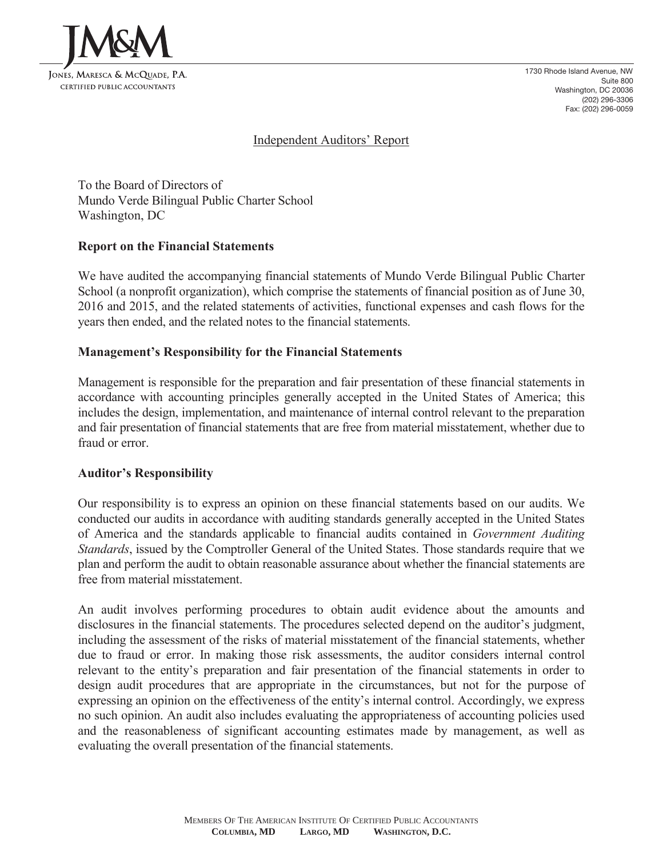

1730 Rhode Island Avenue, NW Suite 800 Washington, DC 20036 (202) 296-3306 Fax: (202) 296-0059

## Independent Auditors' Report

To the Board of Directors of Mundo Verde Bilingual Public Charter School Washington, DC

### **Report on the Financial Statements**

We have audited the accompanying financial statements of Mundo Verde Bilingual Public Charter School (a nonprofit organization), which comprise the statements of financial position as of June 30, 2016 and 2015, and the related statements of activities, functional expenses and cash flows for the years then ended, and the related notes to the financial statements.

# **Management's Responsibility for the Financial Statements**

Management is responsible for the preparation and fair presentation of these financial statements in accordance with accounting principles generally accepted in the United States of America; this includes the design, implementation, and maintenance of internal control relevant to the preparation and fair presentation of financial statements that are free from material misstatement, whether due to fraud or error.

### **Auditor's Responsibility**

Our responsibility is to express an opinion on these financial statements based on our audits. We conducted our audits in accordance with auditing standards generally accepted in the United States of America and the standards applicable to financial audits contained in *Government Auditing Standards*, issued by the Comptroller General of the United States. Those standards require that we plan and perform the audit to obtain reasonable assurance about whether the financial statements are free from material misstatement.

An audit involves performing procedures to obtain audit evidence about the amounts and disclosures in the financial statements. The procedures selected depend on the auditor's judgment, including the assessment of the risks of material misstatement of the financial statements, whether due to fraud or error. In making those risk assessments, the auditor considers internal control relevant to the entity's preparation and fair presentation of the financial statements in order to design audit procedures that are appropriate in the circumstances, but not for the purpose of expressing an opinion on the effectiveness of the entity's internal control. Accordingly, we express no such opinion. An audit also includes evaluating the appropriateness of accounting policies used and the reasonableness of significant accounting estimates made by management, as well as evaluating the overall presentation of the financial statements.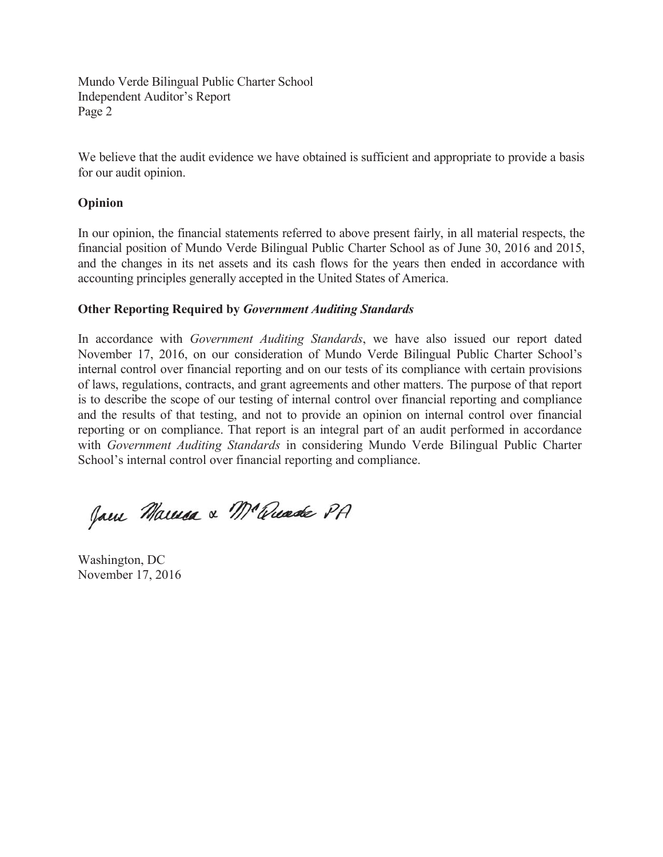Mundo Verde Bilingual Public Charter School Independent Auditor's Report Page 2

We believe that the audit evidence we have obtained is sufficient and appropriate to provide a basis for our audit opinion.

## **Opinion**

In our opinion, the financial statements referred to above present fairly, in all material respects, the financial position of Mundo Verde Bilingual Public Charter School as of June 30, 2016 and 2015, and the changes in its net assets and its cash flows for the years then ended in accordance with accounting principles generally accepted in the United States of America.

# **Other Reporting Required by** *Government Auditing Standards*

In accordance with *Government Auditing Standards*, we have also issued our report dated November 17, 2016, on our consideration of Mundo Verde Bilingual Public Charter School's internal control over financial reporting and on our tests of its compliance with certain provisions of laws, regulations, contracts, and grant agreements and other matters. The purpose of that report is to describe the scope of our testing of internal control over financial reporting and compliance and the results of that testing, and not to provide an opinion on internal control over financial reporting or on compliance. That report is an integral part of an audit performed in accordance with *Government Auditing Standards* in considering Mundo Verde Bilingual Public Charter School's internal control over financial reporting and compliance.

Jam Marma & M'anade PA

Washington, DC November 17, 2016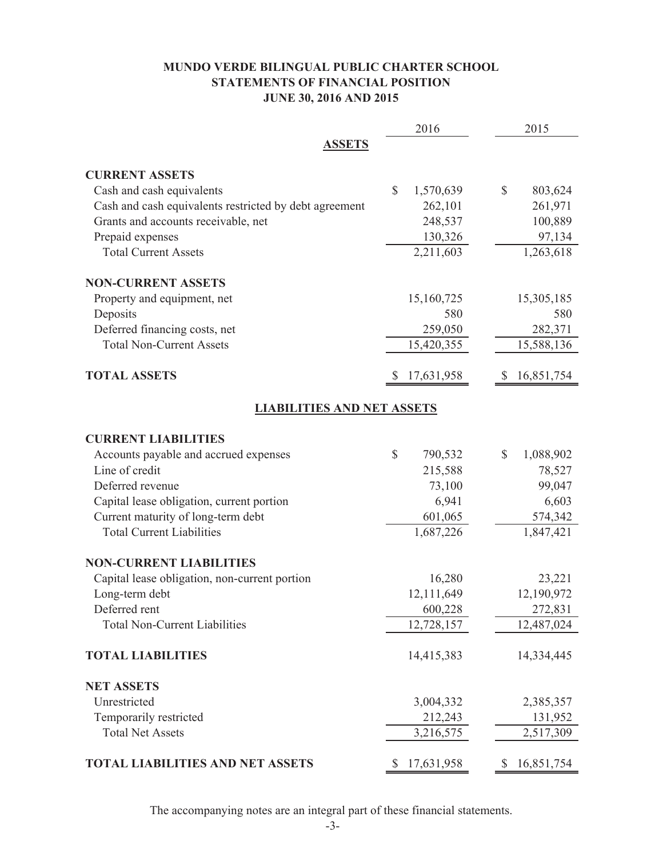# **MUNDO VERDE BILINGUAL PUBLIC CHARTER SCHOOL STATEMENTS OF FINANCIAL POSITION JUNE 30, 2016 AND 2015**

|                                                        | 2016                      | 2015            |
|--------------------------------------------------------|---------------------------|-----------------|
| <b>ASSETS</b>                                          |                           |                 |
| <b>CURRENT ASSETS</b>                                  |                           |                 |
| Cash and cash equivalents                              | 1,570,639<br>$\mathbb{S}$ | \$<br>803,624   |
| Cash and cash equivalents restricted by debt agreement | 262,101                   | 261,971         |
| Grants and accounts receivable, net                    | 248,537                   | 100,889         |
| Prepaid expenses                                       | 130,326                   | 97,134          |
| <b>Total Current Assets</b>                            | 2,211,603                 | 1,263,618       |
| <b>NON-CURRENT ASSETS</b>                              |                           |                 |
| Property and equipment, net                            | 15,160,725                | 15,305,185      |
| Deposits                                               | 580                       | 580             |
| Deferred financing costs, net                          | 259,050                   | 282,371         |
| <b>Total Non-Current Assets</b>                        | 15,420,355                | 15,588,136      |
| <b>TOTAL ASSETS</b>                                    | 17,631,958                | 16,851,754      |
| <b>LIABILITIES AND NET ASSETS</b>                      |                           |                 |
| <b>CURRENT LIABILITIES</b>                             |                           |                 |
| Accounts payable and accrued expenses                  | \$<br>790,532             | \$<br>1,088,902 |
| Line of credit                                         | 215,588                   | 78,527          |
| Deferred revenue                                       | 73,100                    | 99,047          |
| Capital lease obligation, current portion              | 6,941                     | 6,603           |
| Current maturity of long-term debt                     | 601,065                   | 574,342         |
| <b>Total Current Liabilities</b>                       | 1,687,226                 | 1,847,421       |
| <b>NON-CURRENT LIABILITIES</b>                         |                           |                 |
| Capital lease obligation, non-current portion          | 16,280                    | 23,221          |
| Long-term debt                                         | 12,111,649                | 12,190,972      |
| Deferred rent                                          | 600,228                   | 272,831         |
| <b>Total Non-Current Liabilities</b>                   | 12,728,157                | 12,487,024      |
| <b>TOTAL LIABILITIES</b>                               | 14,415,383                | 14,334,445      |
| <b>NET ASSETS</b>                                      |                           |                 |
| Unrestricted                                           | 3,004,332                 | 2,385,357       |
| Temporarily restricted                                 | 212,243                   | 131,952         |
| <b>Total Net Assets</b>                                | 3,216,575                 | 2,517,309       |
| <b>TOTAL LIABILITIES AND NET ASSETS</b>                | 17,631,958                | 16,851,754      |

The accompanying notes are an integral part of these financial statements.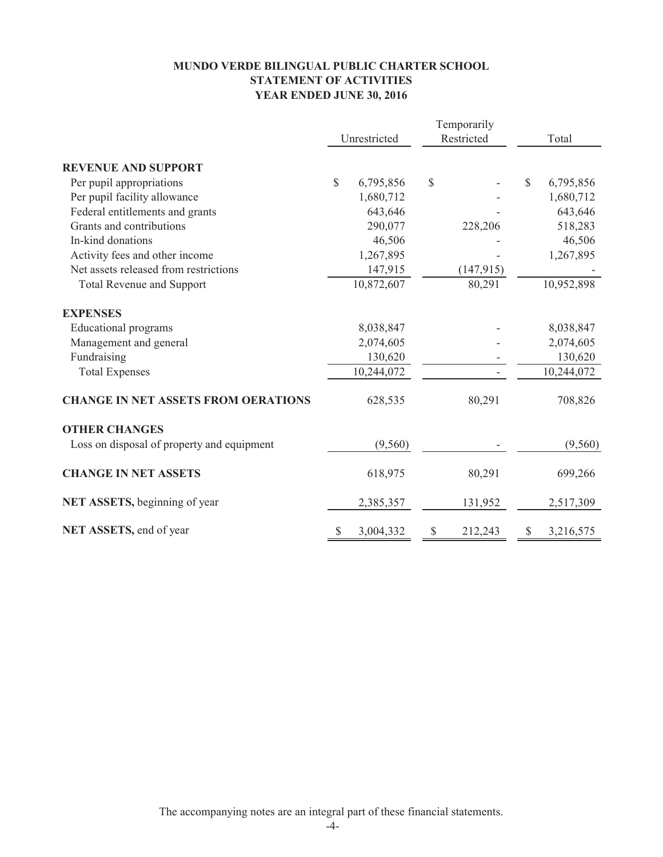# **MUNDO VERDE BILINGUAL PUBLIC CHARTER SCHOOL STATEMENT OF ACTIVITIES YEAR ENDED JUNE 30, 2016**

|                                            |              |            | Temporarily |            |    |            |
|--------------------------------------------|--------------|------------|-------------|------------|----|------------|
|                                            | Unrestricted |            | Restricted  |            |    | Total      |
| <b>REVENUE AND SUPPORT</b>                 |              |            |             |            |    |            |
| Per pupil appropriations                   | $\mathbb{S}$ | 6,795,856  | \$          |            | \$ | 6,795,856  |
| Per pupil facility allowance               |              | 1,680,712  |             |            |    | 1,680,712  |
| Federal entitlements and grants            |              | 643,646    |             |            |    | 643,646    |
| Grants and contributions                   |              | 290,077    |             | 228,206    |    | 518,283    |
| In-kind donations                          |              | 46,506     |             |            |    | 46,506     |
| Activity fees and other income             |              | 1,267,895  |             |            |    | 1,267,895  |
| Net assets released from restrictions      |              | 147,915    |             | (147, 915) |    |            |
| <b>Total Revenue and Support</b>           |              | 10,872,607 |             | 80,291     |    | 10,952,898 |
| <b>EXPENSES</b>                            |              |            |             |            |    |            |
| Educational programs                       |              | 8,038,847  |             |            |    | 8,038,847  |
| Management and general                     |              | 2,074,605  |             |            |    | 2,074,605  |
| Fundraising                                |              | 130,620    |             |            |    | 130,620    |
| <b>Total Expenses</b>                      |              | 10,244,072 |             |            |    | 10,244,072 |
| <b>CHANGE IN NET ASSETS FROM OERATIONS</b> |              | 628,535    |             | 80,291     |    | 708,826    |
| <b>OTHER CHANGES</b>                       |              |            |             |            |    |            |
| Loss on disposal of property and equipment |              | (9,560)    |             |            |    | (9,560)    |
| <b>CHANGE IN NET ASSETS</b>                |              | 618,975    |             | 80,291     |    | 699,266    |
| NET ASSETS, beginning of year              |              | 2,385,357  |             | 131,952    |    | 2,517,309  |
| NET ASSETS, end of year                    |              | 3,004,332  | S           | 212,243    | S  | 3,216,575  |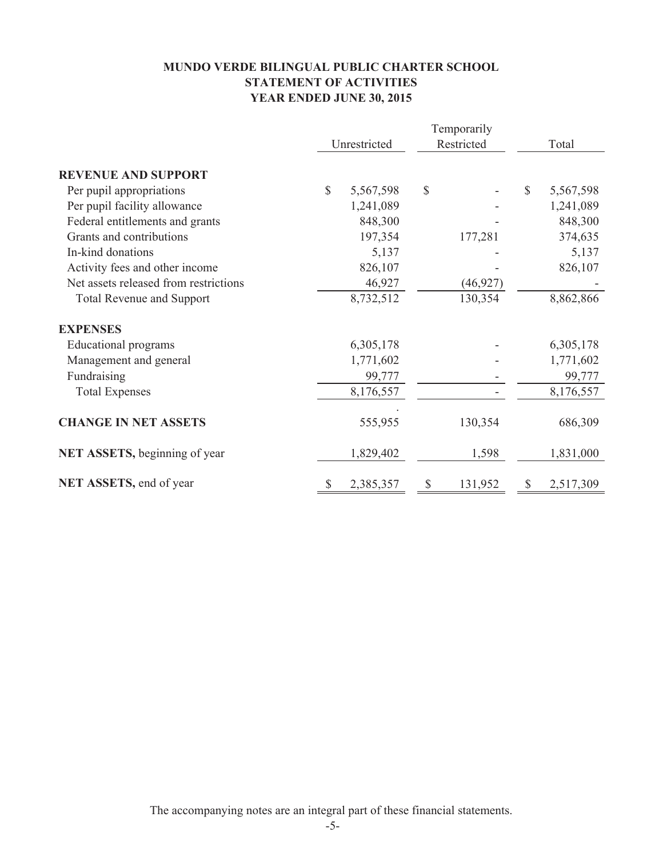# **MUNDO VERDE BILINGUAL PUBLIC CHARTER SCHOOL STATEMENT OF ACTIVITIES YEAR ENDED JUNE 30, 2015**

|                                       |              | Temporarily  |    |            |    |           |
|---------------------------------------|--------------|--------------|----|------------|----|-----------|
|                                       |              | Unrestricted |    | Restricted |    | Total     |
| <b>REVENUE AND SUPPORT</b>            |              |              |    |            |    |           |
| Per pupil appropriations              | $\mathbb{S}$ | 5,567,598    | \$ |            | \$ | 5,567,598 |
| Per pupil facility allowance          |              | 1,241,089    |    |            |    | 1,241,089 |
| Federal entitlements and grants       |              | 848,300      |    |            |    | 848,300   |
| Grants and contributions              |              | 197,354      |    | 177,281    |    | 374,635   |
| In-kind donations                     |              | 5,137        |    |            |    | 5,137     |
| Activity fees and other income        |              | 826,107      |    |            |    | 826,107   |
| Net assets released from restrictions |              | 46,927       |    | (46, 927)  |    |           |
| <b>Total Revenue and Support</b>      |              | 8,732,512    |    | 130,354    |    | 8,862,866 |
| <b>EXPENSES</b>                       |              |              |    |            |    |           |
| Educational programs                  |              | 6,305,178    |    |            |    | 6,305,178 |
| Management and general                |              | 1,771,602    |    |            |    | 1,771,602 |
| Fundraising                           |              | 99,777       |    |            |    | 99,777    |
| <b>Total Expenses</b>                 |              | 8,176,557    |    |            |    | 8,176,557 |
| <b>CHANGE IN NET ASSETS</b>           |              | 555,955      |    | 130,354    |    | 686,309   |
| NET ASSETS, beginning of year         |              | 1,829,402    |    | 1,598      |    | 1,831,000 |
| NET ASSETS, end of year               | \$           | 2,385,357    | \$ | 131,952    | \$ | 2,517,309 |

The accompanying notes are an integral part of these financial statements.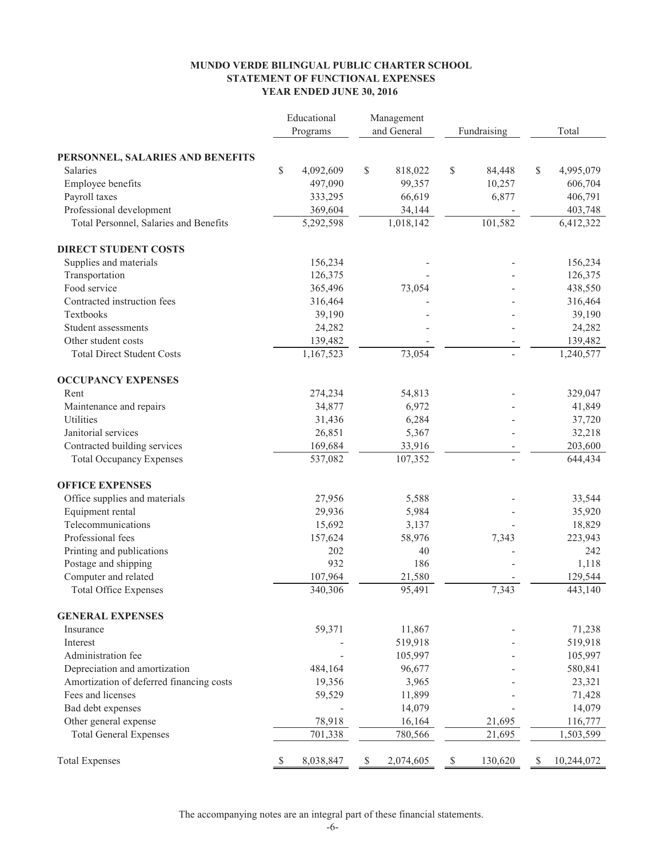#### **YEAR ENDED JUNE 30, 2016 STATEMENT OF FUNCTIONAL EXPENSES MUNDO VERDE BILINGUAL PUBLIC CHARTER SCHOOL**

|                                          | Educational     | Management   |             |             |             |    |            |
|------------------------------------------|-----------------|--------------|-------------|-------------|-------------|----|------------|
|                                          | Programs        |              | and General |             | Fundraising |    | Total      |
| PERSONNEL, SALARIES AND BENEFITS         |                 |              |             |             |             |    |            |
| <b>Salaries</b>                          | \$<br>4,092,609 | \$           | 818,022     | \$          | 84,448      | \$ | 4,995,079  |
| Employee benefits                        | 497,090         |              | 99,357      |             | 10,257      |    | 606,704    |
| Payroll taxes                            | 333,295         |              | 66,619      |             | 6,877       |    | 406,791    |
| Professional development                 | 369,604         |              | 34,144      |             |             |    | 403,748    |
| Total Personnel, Salaries and Benefits   | 5,292,598       |              | 1,018,142   |             | 101,582     |    | 6,412,322  |
| <b>DIRECT STUDENT COSTS</b>              |                 |              |             |             |             |    |            |
| Supplies and materials                   | 156,234         |              |             |             |             |    | 156,234    |
| Transportation                           | 126,375         |              |             |             |             |    | 126,375    |
| Food service                             | 365,496         |              | 73,054      |             |             |    | 438,550    |
| Contracted instruction fees              | 316,464         |              |             |             |             |    | 316,464    |
| Textbooks                                | 39,190          |              |             |             |             |    | 39,190     |
| Student assessments                      | 24,282          |              |             |             |             |    | 24,282     |
| Other student costs                      | 139,482         |              |             |             |             |    | 139,482    |
| <b>Total Direct Student Costs</b>        | 1,167,523       |              | 73,054      |             |             |    | 1,240,577  |
| <b>OCCUPANCY EXPENSES</b>                |                 |              |             |             |             |    |            |
| Rent                                     | 274,234         |              | 54,813      |             |             |    | 329,047    |
| Maintenance and repairs                  | 34,877          |              | 6,972       |             |             |    | 41,849     |
| Utilities                                | 31,436          |              | 6,284       |             |             |    | 37,720     |
| Janitorial services                      | 26,851          |              | 5,367       |             |             |    | 32,218     |
| Contracted building services             | 169,684         |              | 33,916      |             |             |    | 203,600    |
| <b>Total Occupancy Expenses</b>          | 537,082         |              | 107,352     |             |             |    | 644,434    |
| <b>OFFICE EXPENSES</b>                   |                 |              |             |             |             |    |            |
| Office supplies and materials            | 27,956          |              | 5,588       |             |             |    | 33,544     |
| Equipment rental                         | 29,936          |              | 5,984       |             |             |    | 35,920     |
| Telecommunications                       | 15,692          |              | 3,137       |             |             |    | 18,829     |
| Professional fees                        | 157,624         |              | 58,976      |             | 7,343       |    | 223,943    |
| Printing and publications                | 202             |              | 40          |             |             |    | 242        |
| Postage and shipping                     | 932             |              | 186         |             |             |    | 1,118      |
| Computer and related                     | 107,964         |              | 21,580      |             |             |    | 129,544    |
| <b>Total Office Expenses</b>             | 340,306         |              | 95,491      |             | 7,343       |    | 443,140    |
| <b>GENERAL EXPENSES</b>                  |                 |              |             |             |             |    |            |
| Insurance                                | 59,371          |              | 11,867      |             |             |    | 71,238     |
| Interest                                 |                 |              | 519,918     |             |             |    | 519,918    |
| Administration fee                       |                 |              | 105,997     |             |             |    | 105,997    |
| Depreciation and amortization            | 484,164         |              | 96,677      |             |             |    | 580,841    |
| Amortization of deferred financing costs | 19,356          |              | 3,965       |             |             |    | 23,321     |
| Fees and licenses                        | 59,529          |              | 11,899      |             |             |    | 71,428     |
| Bad debt expenses                        |                 |              | 14,079      |             |             |    | 14,079     |
| Other general expense                    | 78,918          |              | 16,164      |             | 21,695      |    | 116,777    |
| <b>Total General Expenses</b>            | 701,338         |              | 780,566     |             | 21,695      |    | 1,503,599  |
| <b>Total Expenses</b>                    | \$<br>8,038,847 | $\mathbb{S}$ | 2,074,605   | $\mathbb S$ | 130,620     | S  | 10,244,072 |

The accompanying notes are an integral part of these financial statements.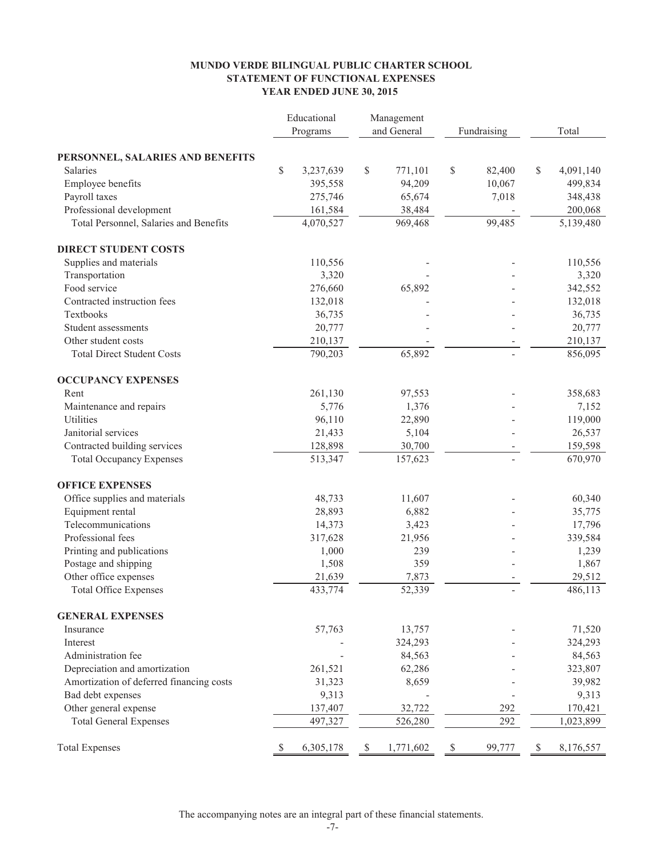#### **MUNDO VERDE BILINGUAL PUBLIC CHARTER SCHOOL STATEMENT OF FUNCTIONAL EXPENSES YEAR ENDED JUNE 30, 2015**

|                                                                 |    | Educational        | Management   |           |    |             |                 |  |
|-----------------------------------------------------------------|----|--------------------|--------------|-----------|----|-------------|-----------------|--|
|                                                                 |    | Programs           | and General  |           |    | Fundraising | Total           |  |
| PERSONNEL, SALARIES AND BENEFITS                                |    |                    |              |           |    |             |                 |  |
| Salaries                                                        | \$ | 3,237,639          | \$           | 771,101   | \$ | 82,400      | \$<br>4,091,140 |  |
| Employee benefits                                               |    | 395,558            |              | 94,209    |    | 10,067      | 499,834         |  |
| Payroll taxes                                                   |    | 275,746            |              | 65,674    |    | 7,018       | 348,438         |  |
| Professional development                                        |    | 161,584            |              | 38,484    |    |             | 200,068         |  |
| Total Personnel, Salaries and Benefits                          |    | 4,070,527          |              | 969,468   |    | 99,485      | 5,139,480       |  |
|                                                                 |    |                    |              |           |    |             |                 |  |
| <b>DIRECT STUDENT COSTS</b>                                     |    |                    |              |           |    |             |                 |  |
| Supplies and materials                                          |    | 110,556            |              |           |    |             | 110,556         |  |
| Transportation                                                  |    | 3,320              |              |           |    |             | 3,320           |  |
| Food service                                                    |    | 276,660            |              | 65,892    |    |             | 342,552         |  |
| Contracted instruction fees                                     |    | 132,018            |              |           |    |             | 132,018         |  |
| Textbooks                                                       |    | 36,735             |              |           |    |             | 36,735          |  |
| Student assessments                                             |    | 20,777             |              |           |    |             | 20,777          |  |
| Other student costs                                             |    | 210,137            |              |           |    |             | 210,137         |  |
| <b>Total Direct Student Costs</b>                               |    | 790,203            |              | 65,892    |    |             | 856,095         |  |
| <b>OCCUPANCY EXPENSES</b>                                       |    |                    |              |           |    |             |                 |  |
| Rent                                                            |    | 261,130            |              | 97,553    |    |             | 358,683         |  |
| Maintenance and repairs                                         |    | 5,776              |              | 1,376     |    |             | 7,152           |  |
| Utilities                                                       |    | 96,110             |              | 22,890    |    |             | 119,000         |  |
| Janitorial services                                             |    | 21,433             |              | 5,104     |    |             | 26,537          |  |
|                                                                 |    |                    |              | 30,700    |    |             | 159,598         |  |
| Contracted building services<br><b>Total Occupancy Expenses</b> |    | 128,898<br>513,347 |              | 157,623   |    |             | 670,970         |  |
|                                                                 |    |                    |              |           |    |             |                 |  |
| <b>OFFICE EXPENSES</b>                                          |    |                    |              |           |    |             |                 |  |
| Office supplies and materials                                   |    | 48,733             |              | 11,607    |    |             | 60,340          |  |
| Equipment rental                                                |    | 28,893             |              | 6,882     |    |             | 35,775          |  |
| Telecommunications                                              |    | 14,373             |              | 3,423     |    |             | 17,796          |  |
| Professional fees                                               |    | 317,628            |              | 21,956    |    |             | 339,584         |  |
| Printing and publications                                       |    | 1,000              |              | 239       |    |             | 1,239           |  |
| Postage and shipping                                            |    | 1,508              |              | 359       |    |             | 1,867           |  |
| Other office expenses                                           |    | 21,639             |              | 7,873     |    |             | 29,512          |  |
| <b>Total Office Expenses</b>                                    |    | 433,774            |              | 52,339    |    |             | 486,113         |  |
| <b>GENERAL EXPENSES</b>                                         |    |                    |              |           |    |             |                 |  |
| Insurance                                                       |    | 57,763             |              | 13,757    |    |             | 71,520          |  |
| Interest                                                        |    |                    |              | 324,293   |    |             | 324,293         |  |
| Administration fee                                              |    |                    |              | 84,563    |    |             | 84,563          |  |
| Depreciation and amortization                                   |    | 261,521            |              | 62,286    |    |             | 323,807         |  |
| Amortization of deferred financing costs                        |    | 31,323             |              | 8,659     |    |             | 39,982          |  |
| Bad debt expenses                                               |    | 9,313              |              |           |    |             | 9,313           |  |
| Other general expense                                           |    | 137,407            |              | 32,722    |    | 292         | 170,421         |  |
| <b>Total General Expenses</b>                                   |    | 497,327            |              | 526,280   |    | 292         | 1,023,899       |  |
|                                                                 |    |                    |              |           |    |             |                 |  |
| <b>Total Expenses</b>                                           | S  | 6,305,178          | $\mathbb{S}$ | 1,771,602 | \$ | 99,777      | \$<br>8,176,557 |  |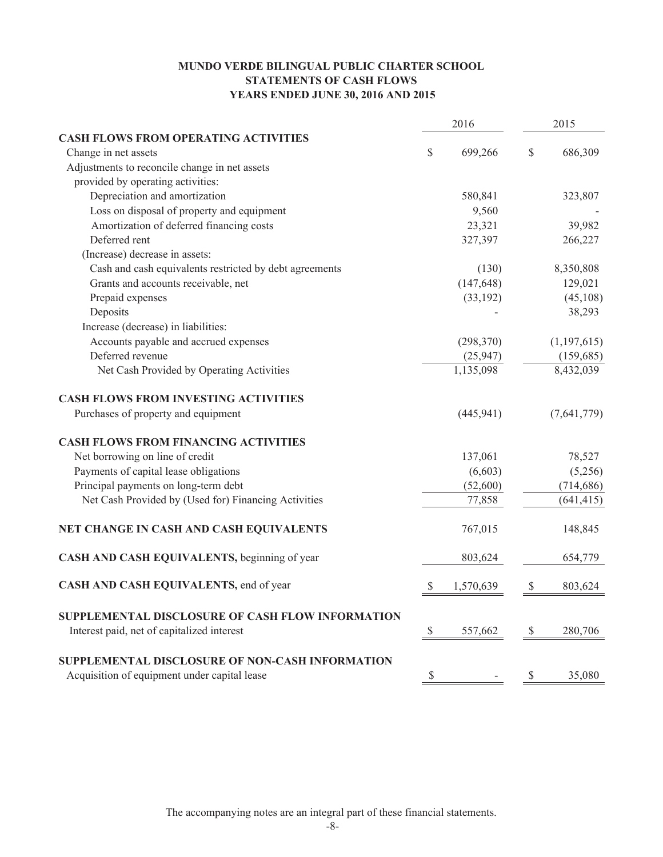# **MUNDO VERDE BILINGUAL PUBLIC CHARTER SCHOOL STATEMENTS OF CASH FLOWS YEARS ENDED JUNE 30, 2016 AND 2015**

|                                                         |               | 2016       |              | 2015          |  |  |
|---------------------------------------------------------|---------------|------------|--------------|---------------|--|--|
| <b>CASH FLOWS FROM OPERATING ACTIVITIES</b>             |               |            |              |               |  |  |
| Change in net assets                                    | \$            | 699,266    | \$           | 686,309       |  |  |
| Adjustments to reconcile change in net assets           |               |            |              |               |  |  |
| provided by operating activities:                       |               |            |              |               |  |  |
| Depreciation and amortization                           |               | 580,841    |              | 323,807       |  |  |
| Loss on disposal of property and equipment              |               | 9,560      |              |               |  |  |
| Amortization of deferred financing costs                |               | 23,321     |              | 39,982        |  |  |
| Deferred rent                                           |               | 327,397    |              | 266,227       |  |  |
| (Increase) decrease in assets:                          |               |            |              |               |  |  |
| Cash and cash equivalents restricted by debt agreements |               | (130)      |              | 8,350,808     |  |  |
| Grants and accounts receivable, net                     |               | (147, 648) |              | 129,021       |  |  |
| Prepaid expenses                                        |               | (33, 192)  |              | (45, 108)     |  |  |
| Deposits                                                |               |            |              | 38,293        |  |  |
| Increase (decrease) in liabilities:                     |               |            |              |               |  |  |
| Accounts payable and accrued expenses                   |               | (298, 370) |              | (1, 197, 615) |  |  |
| Deferred revenue                                        |               | (25, 947)  |              | (159, 685)    |  |  |
| Net Cash Provided by Operating Activities               |               | 1,135,098  |              | 8,432,039     |  |  |
| <b>CASH FLOWS FROM INVESTING ACTIVITIES</b>             |               |            |              |               |  |  |
| Purchases of property and equipment                     |               | (445, 941) |              | (7,641,779)   |  |  |
| <b>CASH FLOWS FROM FINANCING ACTIVITIES</b>             |               |            |              |               |  |  |
| Net borrowing on line of credit                         |               | 137,061    |              | 78,527        |  |  |
| Payments of capital lease obligations                   |               | (6,603)    |              | (5,256)       |  |  |
| Principal payments on long-term debt                    |               | (52,600)   |              | (714, 686)    |  |  |
| Net Cash Provided by (Used for) Financing Activities    |               | 77,858     |              | (641, 415)    |  |  |
| NET CHANGE IN CASH AND CASH EQUIVALENTS                 |               | 767,015    |              | 148,845       |  |  |
| CASH AND CASH EQUIVALENTS, beginning of year            |               | 803,624    |              | 654,779       |  |  |
| CASH AND CASH EQUIVALENTS, end of year                  | $\mathbb{S}$  | 1,570,639  | \$           | 803,624       |  |  |
| SUPPLEMENTAL DISCLOSURE OF CASH FLOW INFORMATION        |               |            |              |               |  |  |
| Interest paid, net of capitalized interest              | $\mathcal{S}$ | 557,662    | $\mathbb{S}$ | 280,706       |  |  |
| SUPPLEMENTAL DISCLOSURE OF NON-CASH INFORMATION         |               |            |              |               |  |  |
| Acquisition of equipment under capital lease            | \$            |            | \$           | 35,080        |  |  |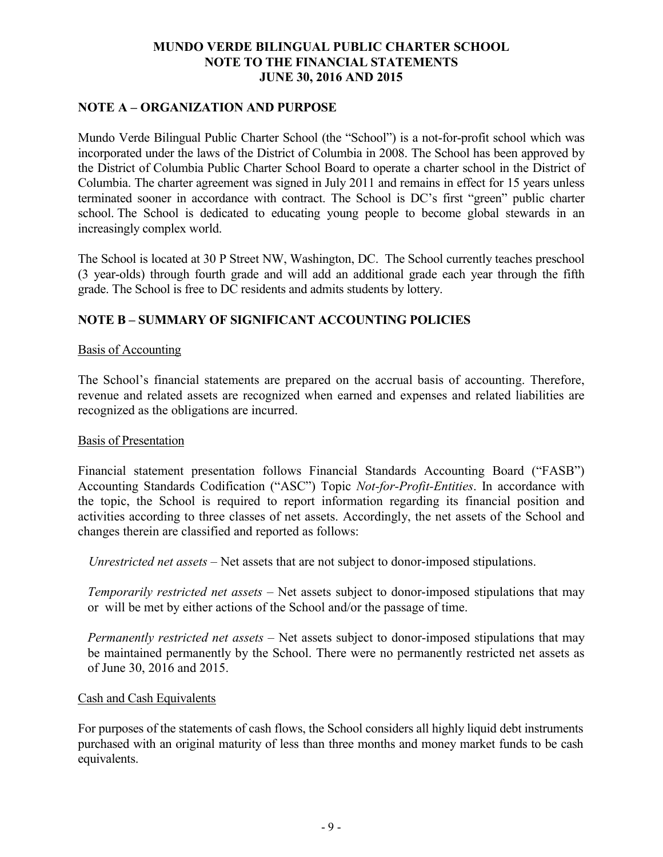# **NOTE A – ORGANIZATION AND PURPOSE**

Mundo Verde Bilingual Public Charter School (the "School") is a not-for-profit school which was incorporated under the laws of the District of Columbia in 2008. The School has been approved by the District of Columbia Public Charter School Board to operate a charter school in the District of Columbia. The charter agreement was signed in July 2011 and remains in effect for 15 years unless terminated sooner in accordance with contract. The School is DC's first "green" public charter school. The School is dedicated to educating young people to become global stewards in an increasingly complex world.

The School is located at 30 P Street NW, Washington, DC. The School currently teaches preschool (3 year-olds) through fourth grade and will add an additional grade each year through the fifth grade. The School is free to DC residents and admits students by lottery.

# **NOTE B – SUMMARY OF SIGNIFICANT ACCOUNTING POLICIES**

### Basis of Accounting

The School's financial statements are prepared on the accrual basis of accounting. Therefore, revenue and related assets are recognized when earned and expenses and related liabilities are recognized as the obligations are incurred.

### Basis of Presentation

Financial statement presentation follows Financial Standards Accounting Board ("FASB") Accounting Standards Codification ("ASC") Topic *Not-for-Profit-Entities*. In accordance with the topic, the School is required to report information regarding its financial position and activities according to three classes of net assets. Accordingly, the net assets of the School and changes therein are classified and reported as follows:

*Unrestricted net assets* – Net assets that are not subject to donor-imposed stipulations.

*Temporarily restricted net assets* – Net assets subject to donor-imposed stipulations that may or will be met by either actions of the School and/or the passage of time.

*Permanently restricted net assets –* Net assets subject to donor-imposed stipulations that may be maintained permanently by the School. There were no permanently restricted net assets as of June 30, 2016 and 2015.

### Cash and Cash Equivalents

For purposes of the statements of cash flows, the School considers all highly liquid debt instruments purchased with an original maturity of less than three months and money market funds to be cash equivalents.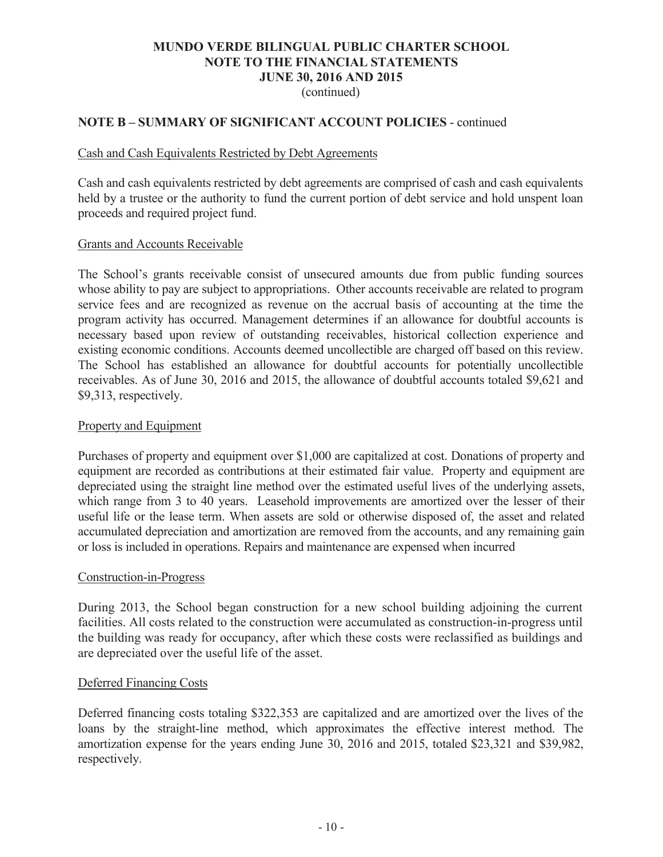(continued)

## **NOTE B – SUMMARY OF SIGNIFICANT ACCOUNT POLICIES** - continued

### Cash and Cash Equivalents Restricted by Debt Agreements

Cash and cash equivalents restricted by debt agreements are comprised of cash and cash equivalents held by a trustee or the authority to fund the current portion of debt service and hold unspent loan proceeds and required project fund.

### Grants and Accounts Receivable

The School's grants receivable consist of unsecured amounts due from public funding sources whose ability to pay are subject to appropriations. Other accounts receivable are related to program service fees and are recognized as revenue on the accrual basis of accounting at the time the program activity has occurred. Management determines if an allowance for doubtful accounts is necessary based upon review of outstanding receivables, historical collection experience and existing economic conditions. Accounts deemed uncollectible are charged off based on this review. The School has established an allowance for doubtful accounts for potentially uncollectible receivables. As of June 30, 2016 and 2015, the allowance of doubtful accounts totaled \$9,621 and \$9,313, respectively.

### Property and Equipment

Purchases of property and equipment over \$1,000 are capitalized at cost. Donations of property and equipment are recorded as contributions at their estimated fair value. Property and equipment are depreciated using the straight line method over the estimated useful lives of the underlying assets, which range from 3 to 40 years. Leasehold improvements are amortized over the lesser of their useful life or the lease term. When assets are sold or otherwise disposed of, the asset and related accumulated depreciation and amortization are removed from the accounts, and any remaining gain or loss is included in operations. Repairs and maintenance are expensed when incurred

### Construction-in-Progress

During 2013, the School began construction for a new school building adjoining the current facilities. All costs related to the construction were accumulated as construction-in-progress until the building was ready for occupancy, after which these costs were reclassified as buildings and are depreciated over the useful life of the asset.

### Deferred Financing Costs

Deferred financing costs totaling \$322,353 are capitalized and are amortized over the lives of the loans by the straight-line method, which approximates the effective interest method. The amortization expense for the years ending June 30, 2016 and 2015, totaled \$23,321 and \$39,982, respectively.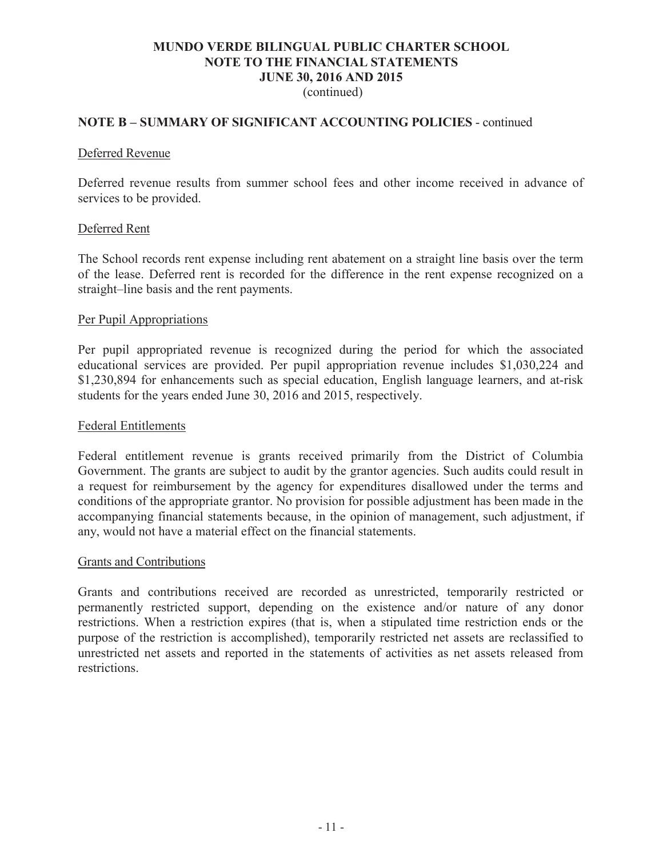### **NOTE B – SUMMARY OF SIGNIFICANT ACCOUNTING POLICIES** - continued

### Deferred Revenue

Deferred revenue results from summer school fees and other income received in advance of services to be provided.

### Deferred Rent

The School records rent expense including rent abatement on a straight line basis over the term of the lease. Deferred rent is recorded for the difference in the rent expense recognized on a straight–line basis and the rent payments.

#### Per Pupil Appropriations

Per pupil appropriated revenue is recognized during the period for which the associated educational services are provided. Per pupil appropriation revenue includes \$1,030,224 and \$1,230,894 for enhancements such as special education, English language learners, and at-risk students for the years ended June 30, 2016 and 2015, respectively.

#### Federal Entitlements

Federal entitlement revenue is grants received primarily from the District of Columbia Government. The grants are subject to audit by the grantor agencies. Such audits could result in a request for reimbursement by the agency for expenditures disallowed under the terms and conditions of the appropriate grantor. No provision for possible adjustment has been made in the accompanying financial statements because, in the opinion of management, such adjustment, if any, would not have a material effect on the financial statements.

### Grants and Contributions

Grants and contributions received are recorded as unrestricted, temporarily restricted or permanently restricted support, depending on the existence and/or nature of any donor restrictions. When a restriction expires (that is, when a stipulated time restriction ends or the purpose of the restriction is accomplished), temporarily restricted net assets are reclassified to unrestricted net assets and reported in the statements of activities as net assets released from restrictions.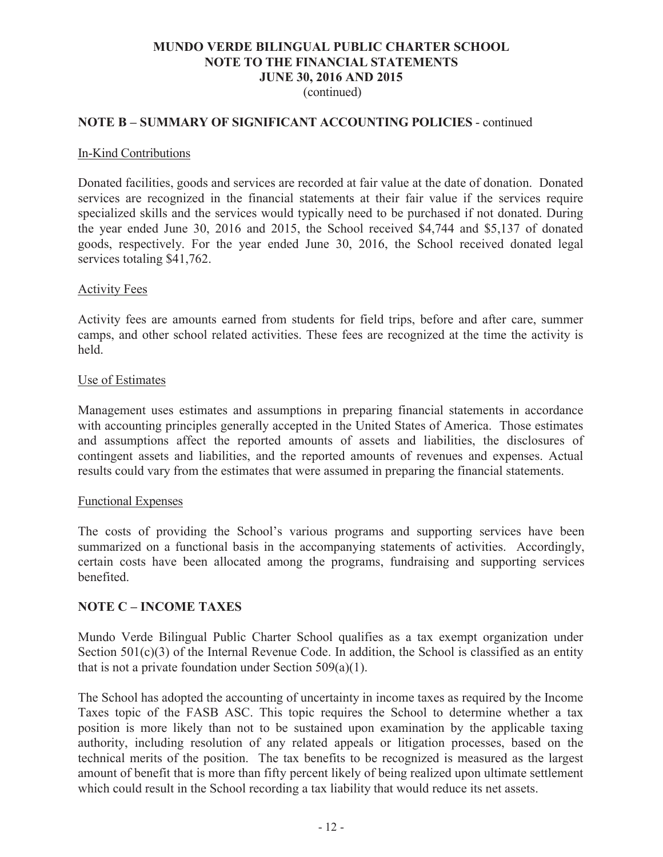### (continued)

### **NOTE B – SUMMARY OF SIGNIFICANT ACCOUNTING POLICIES** - continued

#### In-Kind Contributions

Donated facilities, goods and services are recorded at fair value at the date of donation. Donated services are recognized in the financial statements at their fair value if the services require specialized skills and the services would typically need to be purchased if not donated. During the year ended June 30, 2016 and 2015, the School received \$4,744 and \$5,137 of donated goods, respectively. For the year ended June 30, 2016, the School received donated legal services totaling \$41,762.

### Activity Fees

Activity fees are amounts earned from students for field trips, before and after care, summer camps, and other school related activities. These fees are recognized at the time the activity is held.

#### Use of Estimates

Management uses estimates and assumptions in preparing financial statements in accordance with accounting principles generally accepted in the United States of America. Those estimates and assumptions affect the reported amounts of assets and liabilities, the disclosures of contingent assets and liabilities, and the reported amounts of revenues and expenses. Actual results could vary from the estimates that were assumed in preparing the financial statements.

### Functional Expenses

The costs of providing the School's various programs and supporting services have been summarized on a functional basis in the accompanying statements of activities. Accordingly, certain costs have been allocated among the programs, fundraising and supporting services benefited.

### **NOTE C – INCOME TAXES**

Mundo Verde Bilingual Public Charter School qualifies as a tax exempt organization under Section 501(c)(3) of the Internal Revenue Code. In addition, the School is classified as an entity that is not a private foundation under Section  $509(a)(1)$ .

The School has adopted the accounting of uncertainty in income taxes as required by the Income Taxes topic of the FASB ASC. This topic requires the School to determine whether a tax position is more likely than not to be sustained upon examination by the applicable taxing authority, including resolution of any related appeals or litigation processes, based on the technical merits of the position. The tax benefits to be recognized is measured as the largest amount of benefit that is more than fifty percent likely of being realized upon ultimate settlement which could result in the School recording a tax liability that would reduce its net assets.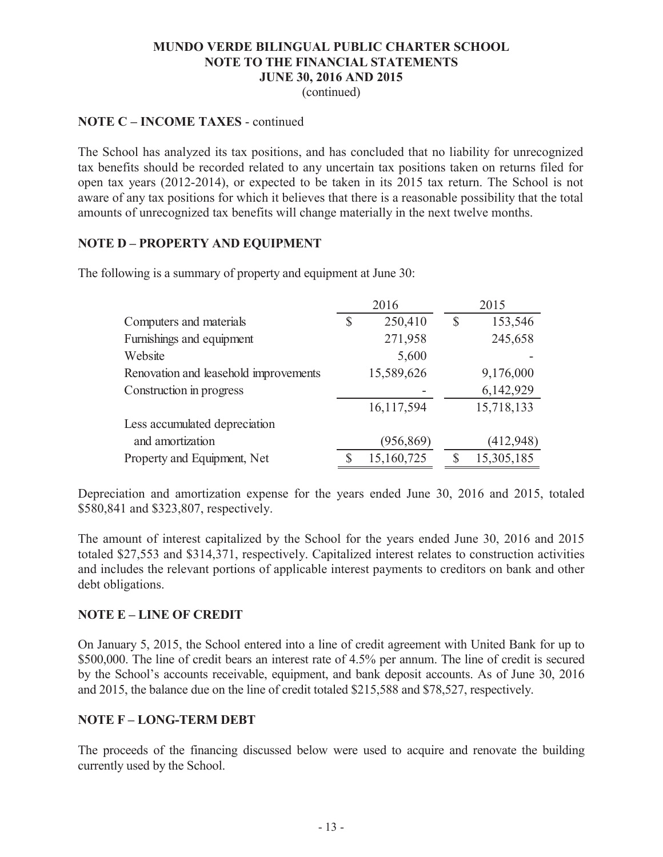(continued)

### **NOTE C – INCOME TAXES** - continued

The School has analyzed its tax positions, and has concluded that no liability for unrecognized tax benefits should be recorded related to any uncertain tax positions taken on returns filed for open tax years (2012-2014), or expected to be taken in its 2015 tax return. The School is not aware of any tax positions for which it believes that there is a reasonable possibility that the total amounts of unrecognized tax benefits will change materially in the next twelve months.

# **NOTE D – PROPERTY AND EQUIPMENT**

The following is a summary of property and equipment at June 30:

|                                       | 2016          |               | 2015       |
|---------------------------------------|---------------|---------------|------------|
| Computers and materials               | \$<br>250,410 | $\mathcal{S}$ | 153,546    |
| Furnishings and equipment             | 271,958       |               | 245,658    |
| Website                               | 5,600         |               |            |
| Renovation and leasehold improvements | 15,589,626    |               | 9,176,000  |
| Construction in progress              |               |               | 6,142,929  |
|                                       | 16,117,594    |               | 15,718,133 |
| Less accumulated depreciation         |               |               |            |
| and amortization                      | (956, 869)    |               | (412, 948) |
| Property and Equipment, Net           | 15,160,725    |               | 15,305,185 |

Depreciation and amortization expense for the years ended June 30, 2016 and 2015, totaled \$580,841 and \$323,807, respectively.

The amount of interest capitalized by the School for the years ended June 30, 2016 and 2015 totaled \$27,553 and \$314,371, respectively. Capitalized interest relates to construction activities and includes the relevant portions of applicable interest payments to creditors on bank and other debt obligations.

## **NOTE E – LINE OF CREDIT**

On January 5, 2015, the School entered into a line of credit agreement with United Bank for up to \$500,000. The line of credit bears an interest rate of 4.5% per annum. The line of credit is secured by the School's accounts receivable, equipment, and bank deposit accounts. As of June 30, 2016 and 2015, the balance due on the line of credit totaled \$215,588 and \$78,527, respectively.

### **NOTE F – LONG-TERM DEBT**

The proceeds of the financing discussed below were used to acquire and renovate the building currently used by the School.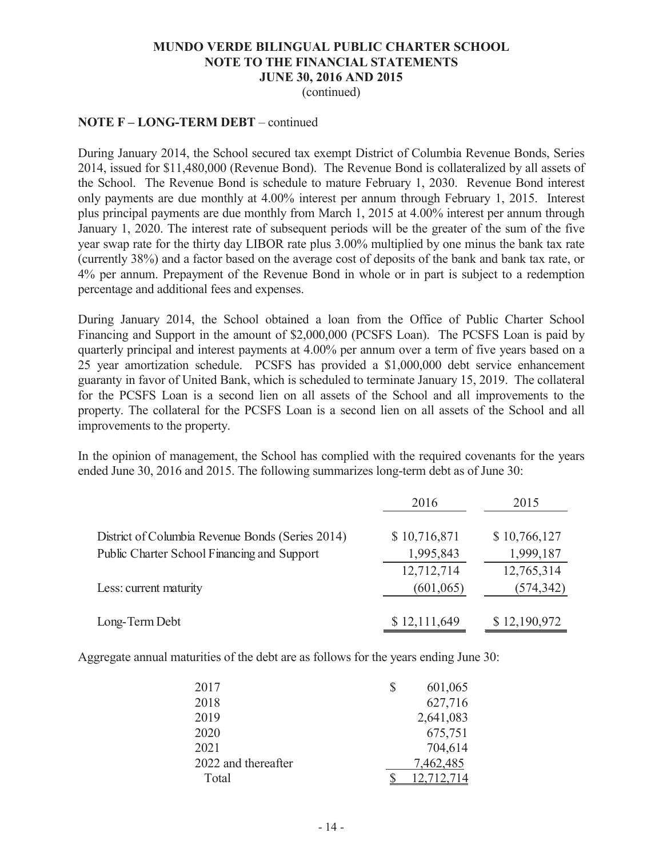(continued)

### **NOTE F – LONG-TERM DEBT** – continued

During January 2014, the School secured tax exempt District of Columbia Revenue Bonds, Series 2014, issued for \$11,480,000 (Revenue Bond). The Revenue Bond is collateralized by all assets of the School. The Revenue Bond is schedule to mature February 1, 2030. Revenue Bond interest only payments are due monthly at 4.00% interest per annum through February 1, 2015. Interest plus principal payments are due monthly from March 1, 2015 at 4.00% interest per annum through January 1, 2020. The interest rate of subsequent periods will be the greater of the sum of the five year swap rate for the thirty day LIBOR rate plus 3.00% multiplied by one minus the bank tax rate (currently 38%) and a factor based on the average cost of deposits of the bank and bank tax rate, or 4% per annum. Prepayment of the Revenue Bond in whole or in part is subject to a redemption percentage and additional fees and expenses.

During January 2014, the School obtained a loan from the Office of Public Charter School Financing and Support in the amount of \$2,000,000 (PCSFS Loan). The PCSFS Loan is paid by quarterly principal and interest payments at 4.00% per annum over a term of five years based on a 25 year amortization schedule. PCSFS has provided a \$1,000,000 debt service enhancement guaranty in favor of United Bank, which is scheduled to terminate January 15, 2019. The collateral for the PCSFS Loan is a second lien on all assets of the School and all improvements to the property. The collateral for the PCSFS Loan is a second lien on all assets of the School and all improvements to the property.

In the opinion of management, the School has complied with the required covenants for the years ended June 30, 2016 and 2015. The following summarizes long-term debt as of June 30:

|                                                  | 2016         | 2015         |
|--------------------------------------------------|--------------|--------------|
| District of Columbia Revenue Bonds (Series 2014) | \$10,716,871 | \$10,766,127 |
| Public Charter School Financing and Support      | 1,995,843    | 1,999,187    |
|                                                  | 12,712,714   | 12,765,314   |
| Less: current maturity                           | (601, 065)   | (574, 342)   |
| Long-Term Debt                                   | \$12,111,649 | \$12,190,972 |

Aggregate annual maturities of the debt are as follows for the years ending June 30:

| 2017                | 601,065   |
|---------------------|-----------|
| 2018                | 627,716   |
| 2019                | 2,641,083 |
| 2020                | 675,751   |
| 2021                | 704,614   |
| 2022 and thereafter | 7,462,485 |
| Total               |           |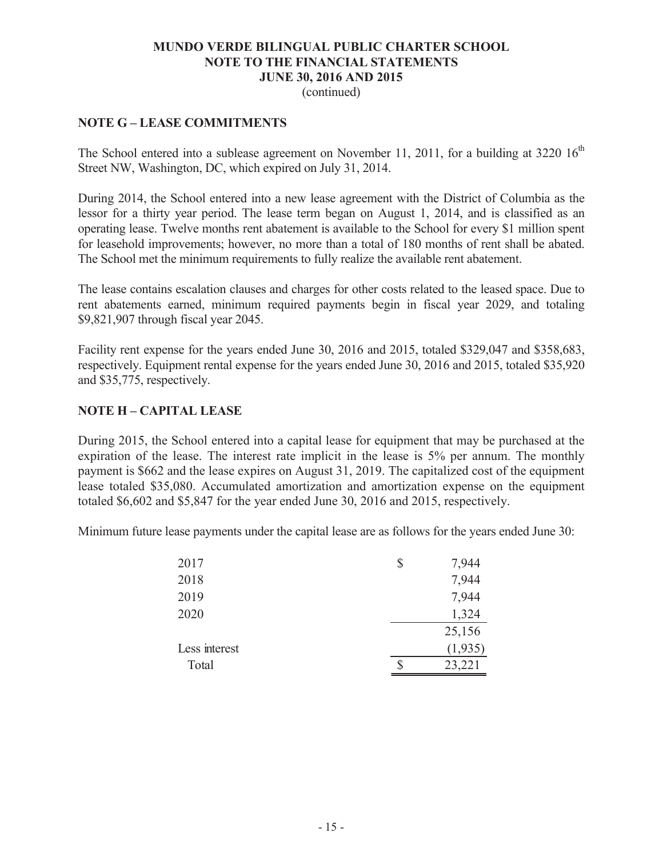(continued)

# **NOTE G – LEASE COMMITMENTS**

The School entered into a sublease agreement on November 11, 2011, for a building at 3220  $16<sup>th</sup>$ Street NW, Washington, DC, which expired on July 31, 2014.

During 2014, the School entered into a new lease agreement with the District of Columbia as the lessor for a thirty year period. The lease term began on August 1, 2014, and is classified as an operating lease. Twelve months rent abatement is available to the School for every \$1 million spent for leasehold improvements; however, no more than a total of 180 months of rent shall be abated. The School met the minimum requirements to fully realize the available rent abatement.

The lease contains escalation clauses and charges for other costs related to the leased space. Due to rent abatements earned, minimum required payments begin in fiscal year 2029, and totaling \$9,821,907 through fiscal year 2045.

Facility rent expense for the years ended June 30, 2016 and 2015, totaled \$329,047 and \$358,683, respectively. Equipment rental expense for the years ended June 30, 2016 and 2015, totaled \$35,920 and \$35,775, respectively.

# **NOTE H – CAPITAL LEASE**

During 2015, the School entered into a capital lease for equipment that may be purchased at the expiration of the lease. The interest rate implicit in the lease is 5% per annum. The monthly payment is \$662 and the lease expires on August 31, 2019. The capitalized cost of the equipment lease totaled \$35,080. Accumulated amortization and amortization expense on the equipment totaled \$6,602 and \$5,847 for the year ended June 30, 2016 and 2015, respectively.

Minimum future lease payments under the capital lease are as follows for the years ended June 30:

| 2017          | \$<br>7,944 |
|---------------|-------------|
| 2018          | 7,944       |
| 2019          | 7,944       |
| 2020          | 1,324       |
|               | 25,156      |
| Less interest | (1,935)     |
| Total         | 23,221      |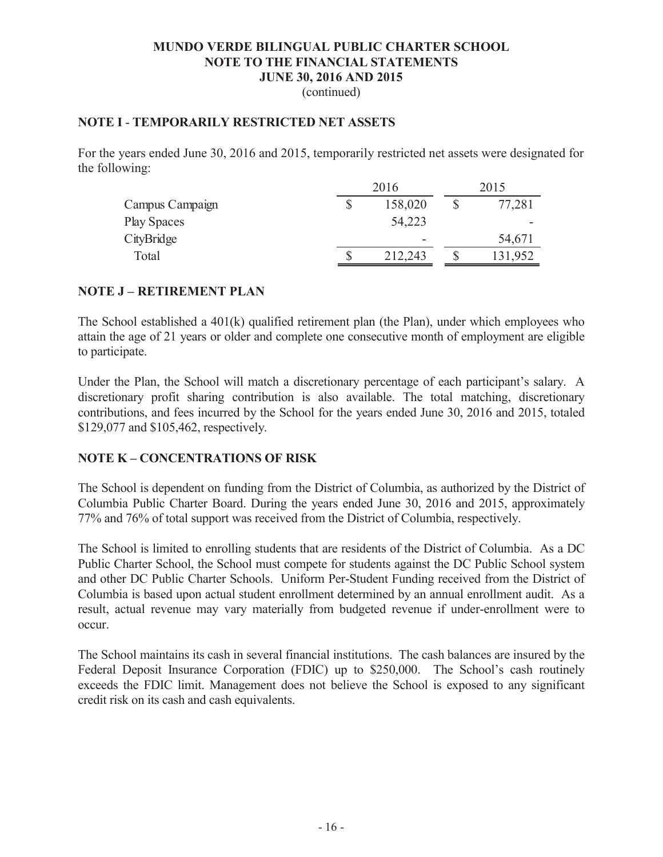(continued)

### **NOTE I** - **TEMPORARILY RESTRICTED NET ASSETS**

For the years ended June 30, 2016 and 2015, temporarily restricted net assets were designated for the following:

|                 | 2016                     | 2015 |         |  |
|-----------------|--------------------------|------|---------|--|
| Campus Campaign | \$<br>158,020            | P    | 77,281  |  |
| Play Spaces     | 54,223                   |      |         |  |
| CityBridge      | $\overline{\phantom{0}}$ |      | 54,671  |  |
| Total           | 212,243                  |      | 131,952 |  |

### **NOTE J – RETIREMENT PLAN**

The School established a 401(k) qualified retirement plan (the Plan), under which employees who attain the age of 21 years or older and complete one consecutive month of employment are eligible to participate.

Under the Plan, the School will match a discretionary percentage of each participant's salary. A discretionary profit sharing contribution is also available. The total matching, discretionary contributions, and fees incurred by the School for the years ended June 30, 2016 and 2015, totaled \$129,077 and \$105,462, respectively.

### **NOTE K – CONCENTRATIONS OF RISK**

The School is dependent on funding from the District of Columbia, as authorized by the District of Columbia Public Charter Board. During the years ended June 30, 2016 and 2015, approximately 77% and 76% of total support was received from the District of Columbia, respectively.

The School is limited to enrolling students that are residents of the District of Columbia. As a DC Public Charter School, the School must compete for students against the DC Public School system and other DC Public Charter Schools. Uniform Per-Student Funding received from the District of Columbia is based upon actual student enrollment determined by an annual enrollment audit. As a result, actual revenue may vary materially from budgeted revenue if under-enrollment were to occur.

The School maintains its cash in several financial institutions. The cash balances are insured by the Federal Deposit Insurance Corporation (FDIC) up to \$250,000. The School's cash routinely exceeds the FDIC limit. Management does not believe the School is exposed to any significant credit risk on its cash and cash equivalents.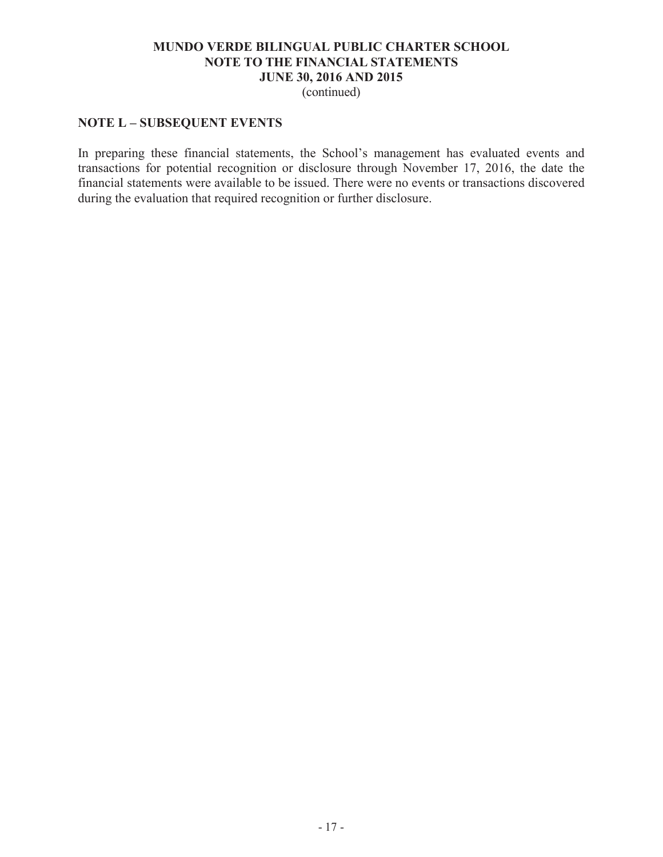(continued)

# **NOTE L – SUBSEQUENT EVENTS**

In preparing these financial statements, the School's management has evaluated events and transactions for potential recognition or disclosure through November 17, 2016, the date the financial statements were available to be issued. There were no events or transactions discovered during the evaluation that required recognition or further disclosure.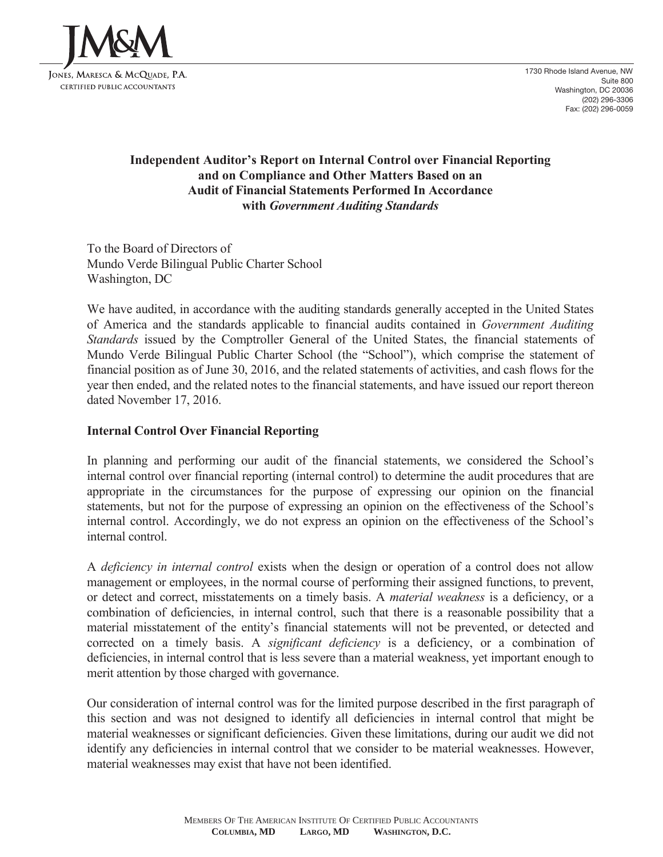

# **Independent Auditor's Report on Internal Control over Financial Reporting and on Compliance and Other Matters Based on an Audit of Financial Statements Performed In Accordance with** *Government Auditing Standards*

To the Board of Directors of Mundo Verde Bilingual Public Charter School Washington, DC

We have audited, in accordance with the auditing standards generally accepted in the United States of America and the standards applicable to financial audits contained in *Government Auditing Standards* issued by the Comptroller General of the United States, the financial statements of Mundo Verde Bilingual Public Charter School (the "School"), which comprise the statement of financial position as of June 30, 2016, and the related statements of activities, and cash flows for the year then ended, and the related notes to the financial statements, and have issued our report thereon dated November 17, 2016.

# **Internal Control Over Financial Reporting**

In planning and performing our audit of the financial statements, we considered the School's internal control over financial reporting (internal control) to determine the audit procedures that are appropriate in the circumstances for the purpose of expressing our opinion on the financial statements, but not for the purpose of expressing an opinion on the effectiveness of the School's internal control. Accordingly, we do not express an opinion on the effectiveness of the School's internal control.

A *deficiency in internal control* exists when the design or operation of a control does not allow management or employees, in the normal course of performing their assigned functions, to prevent, or detect and correct, misstatements on a timely basis. A *material weakness* is a deficiency, or a combination of deficiencies, in internal control, such that there is a reasonable possibility that a material misstatement of the entity's financial statements will not be prevented, or detected and corrected on a timely basis. A *significant deficiency* is a deficiency, or a combination of deficiencies, in internal control that is less severe than a material weakness, yet important enough to merit attention by those charged with governance.

Our consideration of internal control was for the limited purpose described in the first paragraph of this section and was not designed to identify all deficiencies in internal control that might be material weaknesses or significant deficiencies. Given these limitations, during our audit we did not identify any deficiencies in internal control that we consider to be material weaknesses. However, material weaknesses may exist that have not been identified.